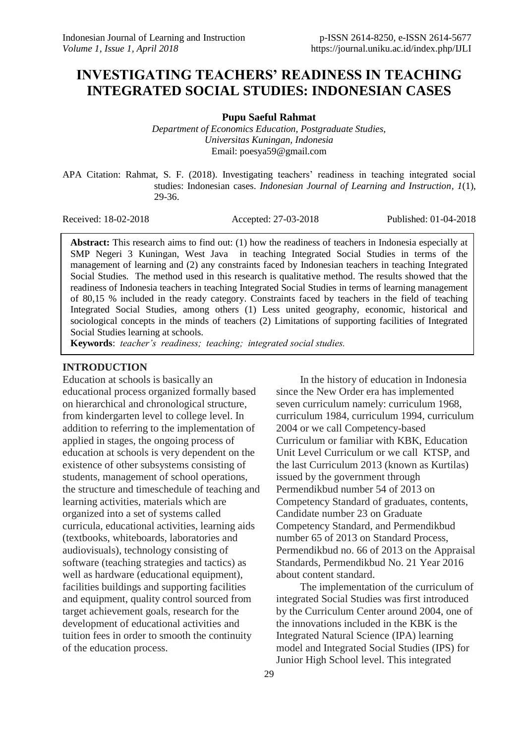# **INVESTIGATING TEACHERS' READINESS IN TEACHING INTEGRATED SOCIAL STUDIES: INDONESIAN CASES**

**Pupu Saeful Rahmat**

*Department of Economics Education, Postgraduate Studies, Universitas Kuningan, Indonesia* Email: poesya59@gmail.com

APA Citation: Rahmat, S. F. (2018). Investigating teachers' readiness in teaching integrated social studies: Indonesian cases. *Indonesian Journal of Learning and Instruction, 1*(1), 29-36.

Received: 18-02-2018 Accepted: 27-03-2018 Published: 01-04-2018

**Abstract:** This research aims to find out: (1) how the readiness of teachers in Indonesia especially at SMP Negeri 3 Kuningan, West Java in teaching Integrated Social Studies in terms of the management of learning and (2) any constraints faced by Indonesian teachers in teaching Integrated Social Studies. The method used in this research is qualitative method. The results showed that the readiness of Indonesia teachers in teaching Integrated Social Studies in terms of learning management of 80,15 % included in the ready category. Constraints faced by teachers in the field of teaching Integrated Social Studies, among others (1) Less united geography, economic, historical and sociological concepts in the minds of teachers (2) Limitations of supporting facilities of Integrated Social Studies learning at schools.

**Keywords**: *teacher's readiness; teaching; integrated social studies.*

#### **INTRODUCTION**

Education at schools is basically an educational process organized formally based on hierarchical and chronological structure, from kindergarten level to college level. In addition to referring to the implementation of applied in stages, the ongoing process of education at schools is very dependent on the existence of other subsystems consisting of students, management of school operations, the structure and timeschedule of teaching and learning activities, materials which are organized into a set of systems called curricula, educational activities, learning aids (textbooks, whiteboards, laboratories and audiovisuals), technology consisting of software (teaching strategies and tactics) as well as hardware (educational equipment), facilities buildings and supporting facilities and equipment, quality control sourced from target achievement goals, research for the development of educational activities and tuition fees in order to smooth the continuity of the education process.

In the history of education in Indonesia since the New Order era has implemented seven curriculum namely: curriculum 1968, curriculum 1984, curriculum 1994, curriculum 2004 or we call Competency-based Curriculum or familiar with KBK, Education Unit Level Curriculum or we call KTSP, and the last Curriculum 2013 (known as Kurtilas) issued by the government through Permendikbud number 54 of 2013 on Competency Standard of graduates, contents, Candidate number 23 on Graduate Competency Standard, and Permendikbud number 65 of 2013 on Standard Process, Permendikbud no. 66 of 2013 on the Appraisal Standards, Permendikbud No. 21 Year 2016 about content standard.

The implementation of the curriculum of integrated Social Studies was first introduced by the Curriculum Center around 2004, one of the innovations included in the KBK is the Integrated Natural Science (IPA) learning model and Integrated Social Studies (IPS) for Junior High School level. This integrated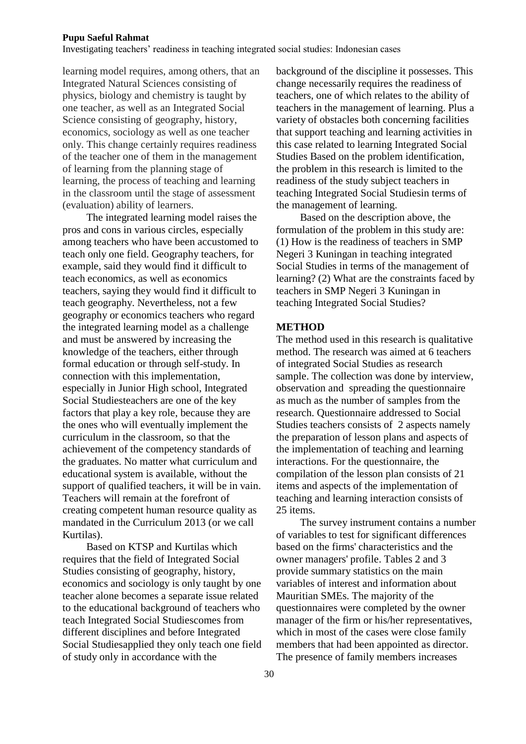Investigating teachers' readiness in teaching integrated social studies: Indonesian cases

learning model requires, among others, that an Integrated Natural Sciences consisting of physics, biology and chemistry is taught by one teacher, as well as an Integrated Social Science consisting of geography, history, economics, sociology as well as one teacher only. This change certainly requires readiness of the teacher one of them in the management of learning from the planning stage of learning, the process of teaching and learning in the classroom until the stage of assessment (evaluation) ability of learners.

The integrated learning model raises the pros and cons in various circles, especially among teachers who have been accustomed to teach only one field. Geography teachers, for example, said they would find it difficult to teach economics, as well as economics teachers, saying they would find it difficult to teach geography. Nevertheless, not a few geography or economics teachers who regard the integrated learning model as a challenge and must be answered by increasing the knowledge of the teachers, either through formal education or through self-study. In connection with this implementation, especially in Junior High school, Integrated Social Studiesteachers are one of the key factors that play a key role, because they are the ones who will eventually implement the curriculum in the classroom, so that the achievement of the competency standards of the graduates. No matter what curriculum and educational system is available, without the support of qualified teachers, it will be in vain. Teachers will remain at the forefront of creating competent human resource quality as mandated in the Curriculum 2013 (or we call Kurtilas).

Based on KTSP and Kurtilas which requires that the field of Integrated Social Studies consisting of geography, history, economics and sociology is only taught by one teacher alone becomes a separate issue related to the educational background of teachers who teach Integrated Social Studiescomes from different disciplines and before Integrated Social Studiesapplied they only teach one field of study only in accordance with the

background of the discipline it possesses. This change necessarily requires the readiness of teachers, one of which relates to the ability of teachers in the management of learning. Plus a variety of obstacles both concerning facilities that support teaching and learning activities in this case related to learning Integrated Social Studies Based on the problem identification, the problem in this research is limited to the readiness of the study subject teachers in teaching Integrated Social Studiesin terms of the management of learning.

Based on the description above, the formulation of the problem in this study are: (1) How is the readiness of teachers in SMP Negeri 3 Kuningan in teaching integrated Social Studies in terms of the management of learning? (2) What are the constraints faced by teachers in SMP Negeri 3 Kuningan in teaching Integrated Social Studies?

#### **METHOD**

The method used in this research is qualitative method. The research was aimed at 6 teachers of integrated Social Studies as research sample. The collection was done by interview, observation and spreading the questionnaire as much as the number of samples from the research. Questionnaire addressed to Social Studies teachers consists of 2 aspects namely the preparation of lesson plans and aspects of the implementation of teaching and learning interactions. For the questionnaire, the compilation of the lesson plan consists of 21 items and aspects of the implementation of teaching and learning interaction consists of 25 items.

The survey instrument contains a number of variables to test for significant differences based on the firms' characteristics and the owner managers' profile. Tables 2 and 3 provide summary statistics on the main variables of interest and information about Mauritian SMEs. The majority of the questionnaires were completed by the owner manager of the firm or his/her representatives, which in most of the cases were close family members that had been appointed as director. The presence of family members increases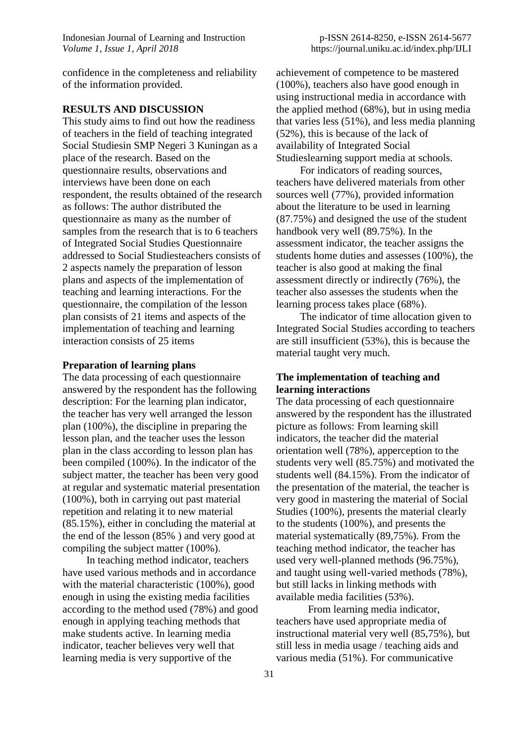confidence in the completeness and reliability of the information provided.

### **RESULTS AND DISCUSSION**

This study aims to find out how the readiness of teachers in the field of teaching integrated Social Studiesin SMP Negeri 3 Kuningan as a place of the research. Based on the questionnaire results, observations and interviews have been done on each respondent, the results obtained of the research as follows: The author distributed the questionnaire as many as the number of samples from the research that is to 6 teachers of Integrated Social Studies Questionnaire addressed to Social Studiesteachers consists of 2 aspects namely the preparation of lesson plans and aspects of the implementation of teaching and learning interactions. For the questionnaire, the compilation of the lesson plan consists of 21 items and aspects of the implementation of teaching and learning interaction consists of 25 items

#### **Preparation of learning plans**

The data processing of each questionnaire answered by the respondent has the following description: For the learning plan indicator, the teacher has very well arranged the lesson plan (100%), the discipline in preparing the lesson plan, and the teacher uses the lesson plan in the class according to lesson plan has been compiled (100%). In the indicator of the subject matter, the teacher has been very good at regular and systematic material presentation (100%), both in carrying out past material repetition and relating it to new material (85.15%), either in concluding the material at the end of the lesson (85% ) and very good at compiling the subject matter (100%).

In teaching method indicator, teachers have used various methods and in accordance with the material characteristic (100%), good enough in using the existing media facilities according to the method used (78%) and good enough in applying teaching methods that make students active. In learning media indicator, teacher believes very well that learning media is very supportive of the

achievement of competence to be mastered (100%), teachers also have good enough in using instructional media in accordance with the applied method (68%), but in using media that varies less (51%), and less media planning (52%), this is because of the lack of availability of Integrated Social Studieslearning support media at schools.

For indicators of reading sources, teachers have delivered materials from other sources well (77%), provided information about the literature to be used in learning (87.75%) and designed the use of the student handbook very well (89.75%). In the assessment indicator, the teacher assigns the students home duties and assesses (100%), the teacher is also good at making the final assessment directly or indirectly (76%), the teacher also assesses the students when the learning process takes place (68%).

The indicator of time allocation given to Integrated Social Studies according to teachers are still insufficient (53%), this is because the material taught very much.

## **The implementation of teaching and learning interactions**

The data processing of each questionnaire answered by the respondent has the illustrated picture as follows: From learning skill indicators, the teacher did the material orientation well (78%), apperception to the students very well (85.75%) and motivated the students well (84.15%). From the indicator of the presentation of the material, the teacher is very good in mastering the material of Social Studies (100%), presents the material clearly to the students (100%), and presents the material systematically (89,75%). From the teaching method indicator, the teacher has used very well-planned methods (96.75%), and taught using well-varied methods (78%), but still lacks in linking methods with available media facilities (53%).

From learning media indicator, teachers have used appropriate media of instructional material very well (85,75%), but still less in media usage / teaching aids and various media (51%). For communicative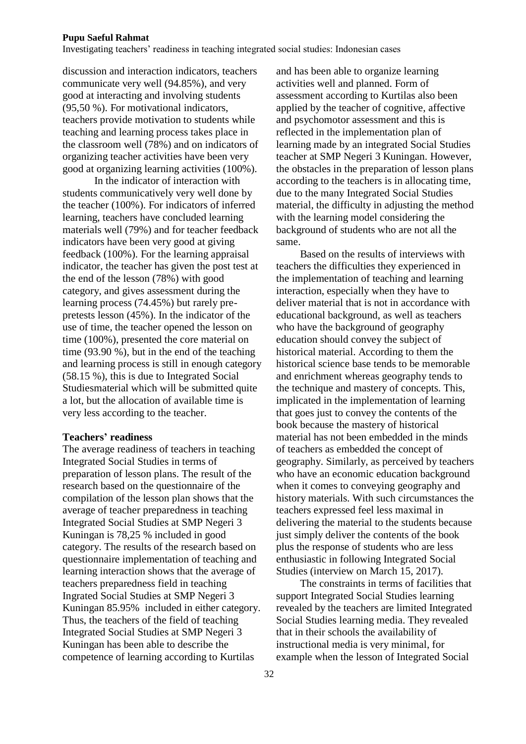Investigating teachers' readiness in teaching integrated social studies: Indonesian cases

discussion and interaction indicators, teachers communicate very well (94.85%), and very good at interacting and involving students (95,50 %). For motivational indicators, teachers provide motivation to students while teaching and learning process takes place in the classroom well (78%) and on indicators of organizing teacher activities have been very good at organizing learning activities (100%).

In the indicator of interaction with students communicatively very well done by the teacher (100%). For indicators of inferred learning, teachers have concluded learning materials well (79%) and for teacher feedback indicators have been very good at giving feedback (100%). For the learning appraisal indicator, the teacher has given the post test at the end of the lesson (78%) with good category, and gives assessment during the learning process (74.45%) but rarely prepretests lesson (45%). In the indicator of the use of time, the teacher opened the lesson on time (100%), presented the core material on time (93.90 %), but in the end of the teaching and learning process is still in enough category (58.15 %), this is due to Integrated Social Studiesmaterial which will be submitted quite a lot, but the allocation of available time is very less according to the teacher.

#### **Teachers' readiness**

The average readiness of teachers in teaching Integrated Social Studies in terms of preparation of lesson plans. The result of the research based on the questionnaire of the compilation of the lesson plan shows that the average of teacher preparedness in teaching Integrated Social Studies at SMP Negeri 3 Kuningan is 78,25 % included in good category. The results of the research based on questionnaire implementation of teaching and learning interaction shows that the average of teachers preparedness field in teaching Ingrated Social Studies at SMP Negeri 3 Kuningan 85.95% included in either category. Thus, the teachers of the field of teaching Integrated Social Studies at SMP Negeri 3 Kuningan has been able to describe the competence of learning according to Kurtilas

and has been able to organize learning activities well and planned. Form of assessment according to Kurtilas also been applied by the teacher of cognitive, affective and psychomotor assessment and this is reflected in the implementation plan of learning made by an integrated Social Studies teacher at SMP Negeri 3 Kuningan. However, the obstacles in the preparation of lesson plans according to the teachers is in allocating time, due to the many Integrated Social Studies material, the difficulty in adjusting the method with the learning model considering the background of students who are not all the same.

Based on the results of interviews with teachers the difficulties they experienced in the implementation of teaching and learning interaction, especially when they have to deliver material that is not in accordance with educational background, as well as teachers who have the background of geography education should convey the subject of historical material. According to them the historical science base tends to be memorable and enrichment whereas geography tends to the technique and mastery of concepts. This, implicated in the implementation of learning that goes just to convey the contents of the book because the mastery of historical material has not been embedded in the minds of teachers as embedded the concept of geography. Similarly, as perceived by teachers who have an economic education background when it comes to conveying geography and history materials. With such circumstances the teachers expressed feel less maximal in delivering the material to the students because just simply deliver the contents of the book plus the response of students who are less enthusiastic in following Integrated Social Studies (interview on March 15, 2017).

The constraints in terms of facilities that support Integrated Social Studies learning revealed by the teachers are limited Integrated Social Studies learning media. They revealed that in their schools the availability of instructional media is very minimal, for example when the lesson of Integrated Social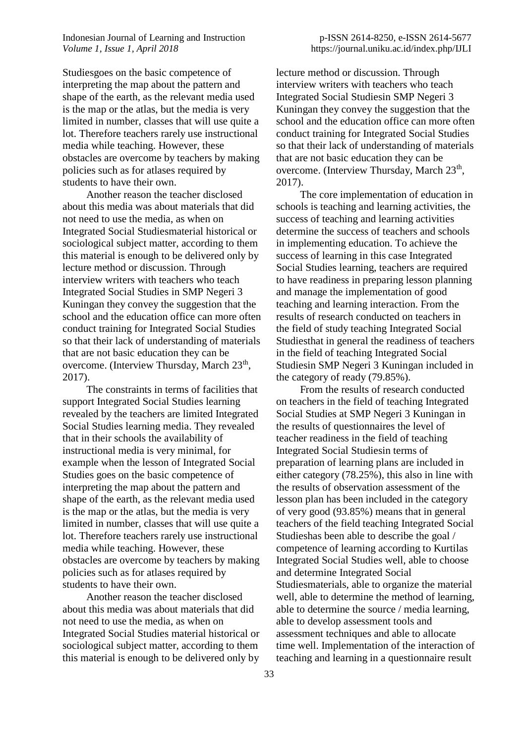Indonesian Journal of Learning and Instruction *Volume 1, Issue 1, April 2018*

Studiesgoes on the basic competence of interpreting the map about the pattern and shape of the earth, as the relevant media used is the map or the atlas, but the media is very limited in number, classes that will use quite a lot. Therefore teachers rarely use instructional media while teaching. However, these obstacles are overcome by teachers by making policies such as for atlases required by students to have their own.

Another reason the teacher disclosed about this media was about materials that did not need to use the media, as when on Integrated Social Studiesmaterial historical or sociological subject matter, according to them this material is enough to be delivered only by lecture method or discussion. Through interview writers with teachers who teach Integrated Social Studies in SMP Negeri 3 Kuningan they convey the suggestion that the school and the education office can more often conduct training for Integrated Social Studies so that their lack of understanding of materials that are not basic education they can be overcome. (Interview Thursday, March 23<sup>th</sup>, 2017).

The constraints in terms of facilities that support Integrated Social Studies learning revealed by the teachers are limited Integrated Social Studies learning media. They revealed that in their schools the availability of instructional media is very minimal, for example when the lesson of Integrated Social Studies goes on the basic competence of interpreting the map about the pattern and shape of the earth, as the relevant media used is the map or the atlas, but the media is very limited in number, classes that will use quite a lot. Therefore teachers rarely use instructional media while teaching. However, these obstacles are overcome by teachers by making policies such as for atlases required by students to have their own.

Another reason the teacher disclosed about this media was about materials that did not need to use the media, as when on Integrated Social Studies material historical or sociological subject matter, according to them this material is enough to be delivered only by

lecture method or discussion. Through interview writers with teachers who teach Integrated Social Studiesin SMP Negeri 3 Kuningan they convey the suggestion that the school and the education office can more often conduct training for Integrated Social Studies so that their lack of understanding of materials that are not basic education they can be overcome. (Interview Thursday, March 23<sup>th</sup>, 2017).

The core implementation of education in schools is teaching and learning activities, the success of teaching and learning activities determine the success of teachers and schools in implementing education. To achieve the success of learning in this case Integrated Social Studies learning, teachers are required to have readiness in preparing lesson planning and manage the implementation of good teaching and learning interaction. From the results of research conducted on teachers in the field of study teaching Integrated Social Studiesthat in general the readiness of teachers in the field of teaching Integrated Social Studiesin SMP Negeri 3 Kuningan included in the category of ready (79.85%).

From the results of research conducted on teachers in the field of teaching Integrated Social Studies at SMP Negeri 3 Kuningan in the results of questionnaires the level of teacher readiness in the field of teaching Integrated Social Studiesin terms of preparation of learning plans are included in either category (78.25%), this also in line with the results of observation assessment of the lesson plan has been included in the category of very good (93.85%) means that in general teachers of the field teaching Integrated Social Studieshas been able to describe the goal / competence of learning according to Kurtilas Integrated Social Studies well, able to choose and determine Integrated Social Studiesmaterials, able to organize the material well, able to determine the method of learning, able to determine the source / media learning, able to develop assessment tools and assessment techniques and able to allocate time well. Implementation of the interaction of teaching and learning in a questionnaire result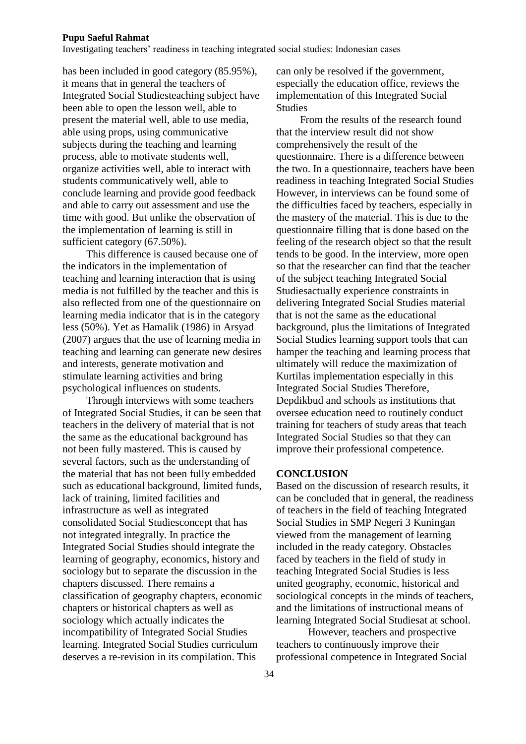Investigating teachers' readiness in teaching integrated social studies: Indonesian cases

has been included in good category (85.95%), it means that in general the teachers of Integrated Social Studiesteaching subject have been able to open the lesson well, able to present the material well, able to use media, able using props, using communicative subjects during the teaching and learning process, able to motivate students well, organize activities well, able to interact with students communicatively well, able to conclude learning and provide good feedback and able to carry out assessment and use the time with good. But unlike the observation of the implementation of learning is still in sufficient category (67.50%).

This difference is caused because one of the indicators in the implementation of teaching and learning interaction that is using media is not fulfilled by the teacher and this is also reflected from one of the questionnaire on learning media indicator that is in the category less (50%). Yet as Hamalik (1986) in Arsyad (2007) argues that the use of learning media in teaching and learning can generate new desires and interests, generate motivation and stimulate learning activities and bring psychological influences on students.

Through interviews with some teachers of Integrated Social Studies, it can be seen that teachers in the delivery of material that is not the same as the educational background has not been fully mastered. This is caused by several factors, such as the understanding of the material that has not been fully embedded such as educational background, limited funds, lack of training, limited facilities and infrastructure as well as integrated consolidated Social Studiesconcept that has not integrated integrally. In practice the Integrated Social Studies should integrate the learning of geography, economics, history and sociology but to separate the discussion in the chapters discussed. There remains a classification of geography chapters, economic chapters or historical chapters as well as sociology which actually indicates the incompatibility of Integrated Social Studies learning. Integrated Social Studies curriculum deserves a re-revision in its compilation. This

can only be resolved if the government, especially the education office, reviews the implementation of this Integrated Social **Studies** 

From the results of the research found that the interview result did not show comprehensively the result of the questionnaire. There is a difference between the two. In a questionnaire, teachers have been readiness in teaching Integrated Social Studies However, in interviews can be found some of the difficulties faced by teachers, especially in the mastery of the material. This is due to the questionnaire filling that is done based on the feeling of the research object so that the result tends to be good. In the interview, more open so that the researcher can find that the teacher of the subject teaching Integrated Social Studiesactually experience constraints in delivering Integrated Social Studies material that is not the same as the educational background, plus the limitations of Integrated Social Studies learning support tools that can hamper the teaching and learning process that ultimately will reduce the maximization of Kurtilas implementation especially in this Integrated Social Studies Therefore, Depdikbud and schools as institutions that oversee education need to routinely conduct training for teachers of study areas that teach Integrated Social Studies so that they can improve their professional competence.

#### **CONCLUSION**

Based on the discussion of research results, it can be concluded that in general, the readiness of teachers in the field of teaching Integrated Social Studies in SMP Negeri 3 Kuningan viewed from the management of learning included in the ready category. Obstacles faced by teachers in the field of study in teaching Integrated Social Studies is less united geography, economic, historical and sociological concepts in the minds of teachers, and the limitations of instructional means of learning Integrated Social Studiesat at school.

However, teachers and prospective teachers to continuously improve their professional competence in Integrated Social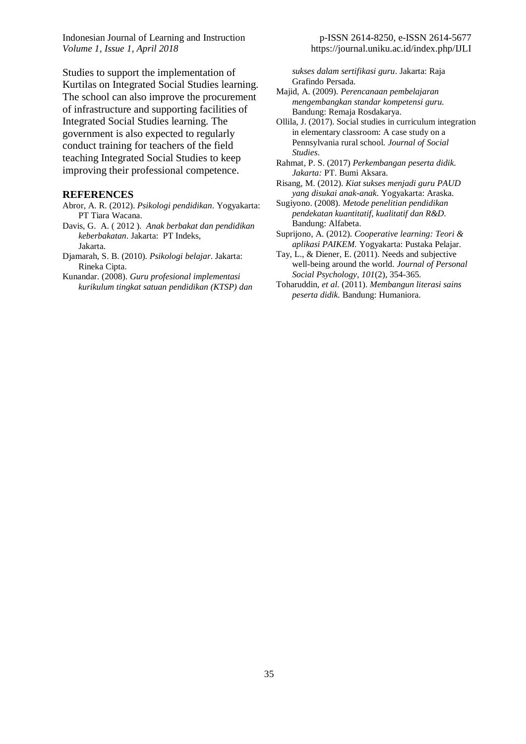Indonesian Journal of Learning and Instruction *Volume 1, Issue 1, April 2018*

Studies to support the implementation of Kurtilas on Integrated Social Studies learning. The school can also improve the procurement of infrastructure and supporting facilities of Integrated Social Studies learning. The government is also expected to regularly conduct training for teachers of the field teaching Integrated Social Studies to keep improving their professional competence.

#### **REFERENCES**

- Abror, A. R. (2012). *Psikologi pendidikan*. Yogyakarta: PT Tiara Wacana.
- Davis, G. A. ( 2012 ). *Anak berbakat dan pendidikan keberbakatan*. Jakarta: PT Indeks, Jakarta.
- Djamarah, S. B. (2010). *Psikologi belajar*. Jakarta: Rineka Cipta.
- Kunandar. (2008). *Guru profesional implementasi kurikulum tingkat satuan pendidikan (KTSP) dan*

*sukses dalam sertifikasi guru*. Jakarta: Raja Grafindo Persada.

- Majid, A. (2009). *Perencanaan pembelajaran mengembangkan standar kompetensi guru.*  Bandung: Remaja Rosdakarya.
- Ollila, J. (2017). Social studies in curriculum integration in elementary classroom: A case study on a Pennsylvania rural school. *Journal of Social Studies*.
- Rahmat, P. S. (2017) *Perkembangan peserta didik. Jakarta:* PT. Bumi Aksara.
- Risang, M. (2012). *Kiat sukses menjadi guru PAUD yang disukai anak-anak*. Yogyakarta: Araska.
- Sugiyono. (2008). *Metode penelitian pendidikan pendekatan kuantitatif, kualitatif dan R&D*. Bandung: Alfabeta.
- Suprijono, A. (2012). *Cooperative learning: Teori & aplikasi PAIKEM.* Yogyakarta: Pustaka Pelajar.
- Tay, L., & Diener, E. (2011). Needs and subjective well-being around the world. *Journal of Personal Social Psychology, 101*(2), 354-365.
- Toharuddin, *et al.* (2011). *Membangun literasi sains peserta didik.* Bandung: Humaniora.